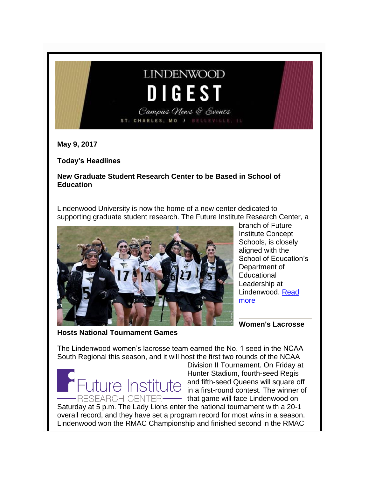# **LINDENWOOD**

Campus News & Events ST. CHARLES, MO / BELLEVILLE,

**May 9, 2017**

**Today's Headlines**

**New Graduate Student Research Center to be Based in School of Education**

Lindenwood University is now the home of a new center dedicated to supporting graduate student research. The Future Institute Research Center, a



branch of Future Institute Concept Schools, is closely aligned with the School of Education's Department of **Educational** Leadership at Lindenwood. [Read](http://www.lindenwood.edu/about/news/details/new-graduate-student-research-center-to-be-based-in-school-of-education/)  [more](http://www.lindenwood.edu/about/news/details/new-graduate-student-research-center-to-be-based-in-school-of-education/)

**Women's Lacrosse** 

The Lindenwood women's lacrosse team earned the No. 1 seed in the NCAA

**Hosts National Tournament Games**

South Regional this season, and it will host the first two rounds of the NCAA Division II Tournament. On Friday at Hunter Stadium, fourth-seed Regis and fifth-seed Queens will square off in a first-round contest. The winner of ESEARCH CENTER—— that game will face Lindenwood on

Saturday at 5 p.m. The Lady Lions enter the national tournament with a 20-1 overall record, and they have set a program record for most wins in a season. Lindenwood won the RMAC Championship and finished second in the RMAC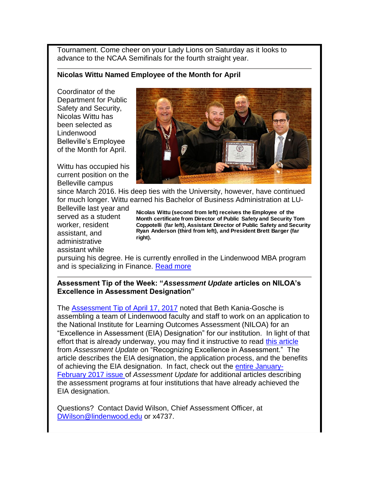Tournament. Come cheer on your Lady Lions on Saturday as it looks to advance to the NCAA Semifinals for the fourth straight year.

#### **Nicolas Wittu Named Employee of the Month for April**

Coordinator of the Department for Public Safety and Security, Nicolas Wittu has been selected as Lindenwood Belleville's Employee of the Month for April.

Wittu has occupied his current position on the Belleville campus



since March 2016. His deep ties with the University, however, have continued for much longer. Wittu earned his Bachelor of Business Administration at LU-

Belleville last year and served as a student worker, resident assistant, and administrative assistant while

**Nicolas Wittu (second from left) receives the Employee of the Month certificate from Director of Public Safety and Security Tom Coppotelli (far left), Assistant Director of Public Safety and Security Ryan Anderson (third from left), and President Brett Barger (far right).**

pursuing his degree. He is currently enrolled in the Lindenwood MBA program and is specializing in Finance. [Read more](http://felix.lindenwood.edu/newsletter/2017_05/eom.pdf)

#### **Assessment Tip of the Week: "***Assessment Update* **articles on NILOA's Excellence in Assessment Designation"**

The [Assessment Tip of April 17, 2017](http://lindenwood.libguides.com/ld.php?content_id=31341249) noted that Beth Kania-Gosche is assembling a team of Lindenwood faculty and staff to work on an application to the National Institute for Learning Outcomes Assessment (NILOA) for an "Excellence in Assessment (EIA) Designation" for our institution. In light of that effort that is already underway, you may find it instructive to read [this article](http://lindenwood.libguides.com/ld.php?content_id=31620423) from *Assessment Update* on "Recognizing Excellence in Assessment." The article describes the EIA designation, the application process, and the benefits of achieving the EIA designation. In fact, check out the [entire January-](http://lindenwood.libguides.com/ld.php?content_id=31623787)[February 2017 issue o](http://lindenwood.libguides.com/ld.php?content_id=31623787)f *Assessment Update* for additional articles describing the assessment programs at four institutions that have already achieved the EIA designation.

Questions? Contact David Wilson, Chief Assessment Officer, at [DWilson@lindenwood.edu](mailto:DWilson@lindenwood.edu) or x4737.